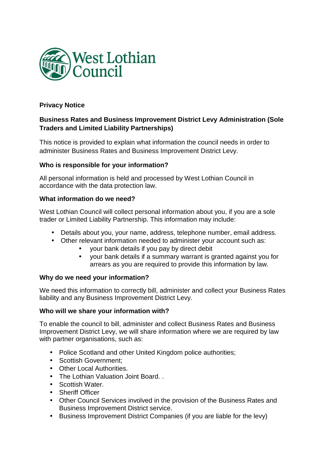

# **Privacy Notice**

# **Business Rates and Business Improvement District Levy Administration (Sole Traders and Limited Liability Partnerships)**

This notice is provided to explain what information the council needs in order to administer Business Rates and Business Improvement District Levy.

# **Who is responsible for your information?**

All personal information is held and processed by West Lothian Council in accordance with the data protection law.

# **What information do we need?**

West Lothian Council will collect personal information about you, if you are a sole trader or Limited Liability Partnership. This information may include:

- Details about you, your name, address, telephone number, email address.
- Other relevant information needed to administer your account such as:
	- your bank details if you pay by direct debit
	- your bank details if a summary warrant is granted against you for arrears as you are required to provide this information by law.

#### **Why do we need your information?**

We need this information to correctly bill, administer and collect your Business Rates liability and any Business Improvement District Levy.

#### **Who will we share your information with?**

To enable the council to bill, administer and collect Business Rates and Business Improvement District Levy, we will share information where we are required by law with partner organisations, such as:

- Police Scotland and other United Kingdom police authorities;
- Scottish Government:
- Other Local Authorities.
- The Lothian Valuation Joint Board. .
- Scottish Water.
- Sheriff Officer
- Other Council Services involved in the provision of the Business Rates and Business Improvement District service.
- Business Improvement District Companies (if you are liable for the levy)